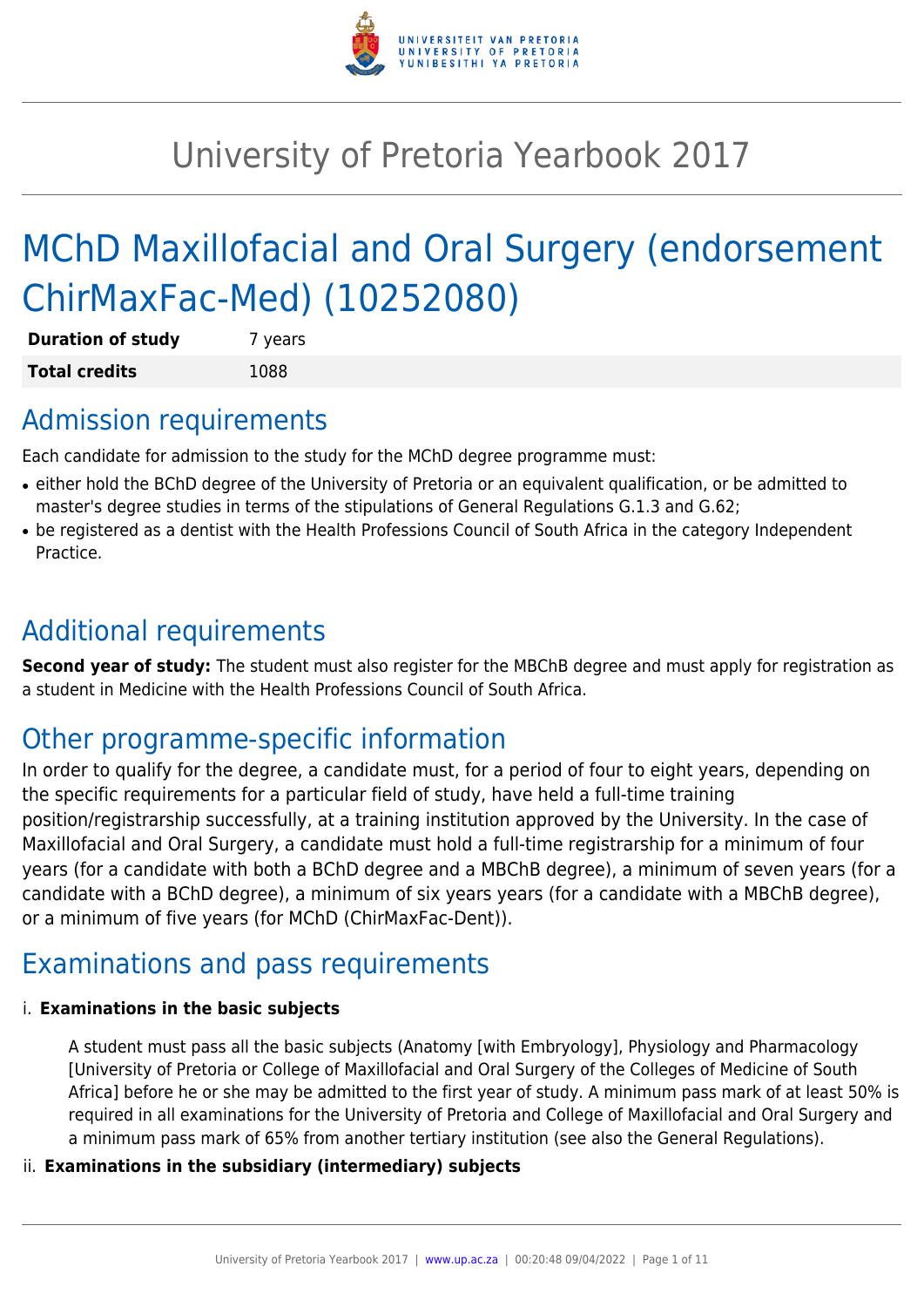

# University of Pretoria Yearbook 2017

# MChD Maxillofacial and Oral Surgery (endorsement ChirMaxFac-Med) (10252080)

| <b>Duration of study</b> | 7 years |
|--------------------------|---------|
| <b>Total credits</b>     | 1088    |

### Admission requirements

Each candidate for admission to the study for the MChD degree programme must:

- either hold the BChD degree of the University of Pretoria or an equivalent qualification, or be admitted to master's degree studies in terms of the stipulations of General Regulations G.1.3 and G.62;
- be registered as a dentist with the Health Professions Council of South Africa in the category Independent Practice.

# Additional requirements

**Second year of study:** The student must also register for the MBChB degree and must apply for registration as a student in Medicine with the Health Professions Council of South Africa.

# Other programme-specific information

In order to qualify for the degree, a candidate must, for a period of four to eight years, depending on the specific requirements for a particular field of study, have held a full-time training position/registrarship successfully, at a training institution approved by the University. In the case of Maxillofacial and Oral Surgery, a candidate must hold a full-time registrarship for a minimum of four years (for a candidate with both a BChD degree and a MBChB degree), a minimum of seven years (for a candidate with a BChD degree), a minimum of six years years (for a candidate with a MBChB degree), or a minimum of five years (for MChD (ChirMaxFac-Dent)).

# Examinations and pass requirements

#### i. **Examinations in the basic subjects**

A student must pass all the basic subjects (Anatomy [with Embryology], Physiology and Pharmacology [University of Pretoria or College of Maxillofacial and Oral Surgery of the Colleges of Medicine of South Africa] before he or she may be admitted to the first year of study. A minimum pass mark of at least 50% is required in all examinations for the University of Pretoria and College of Maxillofacial and Oral Surgery and a minimum pass mark of 65% from another tertiary institution (see also the General Regulations).

#### ii. **Examinations in the subsidiary (intermediary) subjects**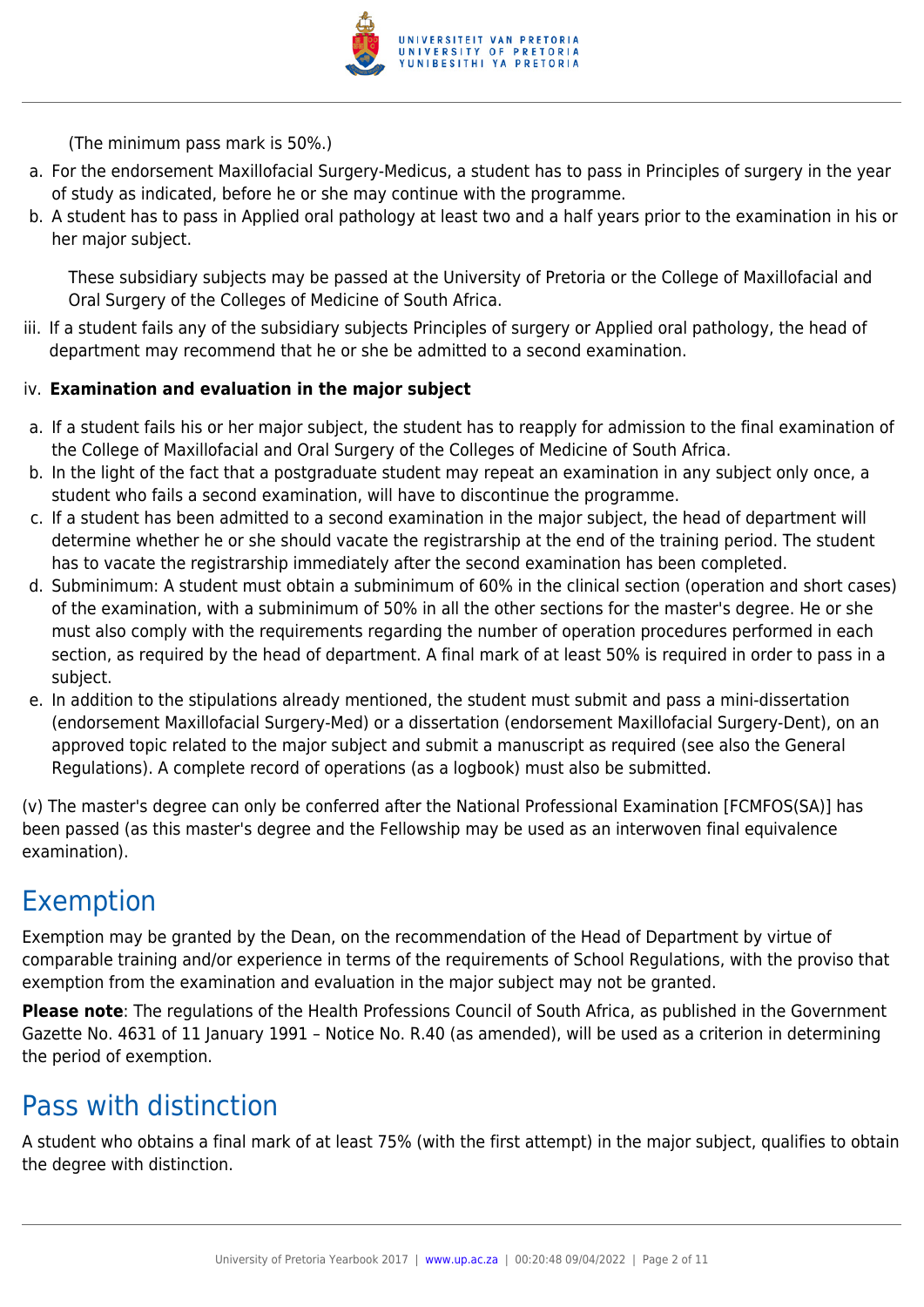

(The minimum pass mark is 50%.)

- a. For the endorsement Maxillofacial Surgery-Medicus, a student has to pass in Principles of surgery in the year of study as indicated, before he or she may continue with the programme.
- b. A student has to pass in Applied oral pathology at least two and a half years prior to the examination in his or her major subject.

These subsidiary subjects may be passed at the University of Pretoria or the College of Maxillofacial and Oral Surgery of the Colleges of Medicine of South Africa.

iii. If a student fails any of the subsidiary subjects Principles of surgery or Applied oral pathology, the head of department may recommend that he or she be admitted to a second examination.

#### iv. **Examination and evaluation in the major subject**

- a. If a student fails his or her major subject, the student has to reapply for admission to the final examination of the College of Maxillofacial and Oral Surgery of the Colleges of Medicine of South Africa.
- b. In the light of the fact that a postgraduate student may repeat an examination in any subject only once, a student who fails a second examination, will have to discontinue the programme.
- c. If a student has been admitted to a second examination in the major subject, the head of department will determine whether he or she should vacate the registrarship at the end of the training period. The student has to vacate the registrarship immediately after the second examination has been completed.
- d. Subminimum: A student must obtain a subminimum of 60% in the clinical section (operation and short cases) of the examination, with a subminimum of 50% in all the other sections for the master's degree. He or she must also comply with the requirements regarding the number of operation procedures performed in each section, as required by the head of department. A final mark of at least 50% is required in order to pass in a subject.
- e. In addition to the stipulations already mentioned, the student must submit and pass a mini-dissertation (endorsement Maxillofacial Surgery-Med) or a dissertation (endorsement Maxillofacial Surgery-Dent), on an approved topic related to the major subject and submit a manuscript as required (see also the General Regulations). A complete record of operations (as a logbook) must also be submitted.

(v) The master's degree can only be conferred after the National Professional Examination [FCMFOS(SA)] has been passed (as this master's degree and the Fellowship may be used as an interwoven final equivalence examination).

# Exemption

Exemption may be granted by the Dean, on the recommendation of the Head of Department by virtue of comparable training and/or experience in terms of the requirements of School Regulations, with the proviso that exemption from the examination and evaluation in the major subject may not be granted.

**Please note**: The regulations of the Health Professions Council of South Africa, as published in the Government Gazette No. 4631 of 11 January 1991 – Notice No. R.40 (as amended), will be used as a criterion in determining the period of exemption.

# Pass with distinction

A student who obtains a final mark of at least 75% (with the first attempt) in the major subject, qualifies to obtain the degree with distinction.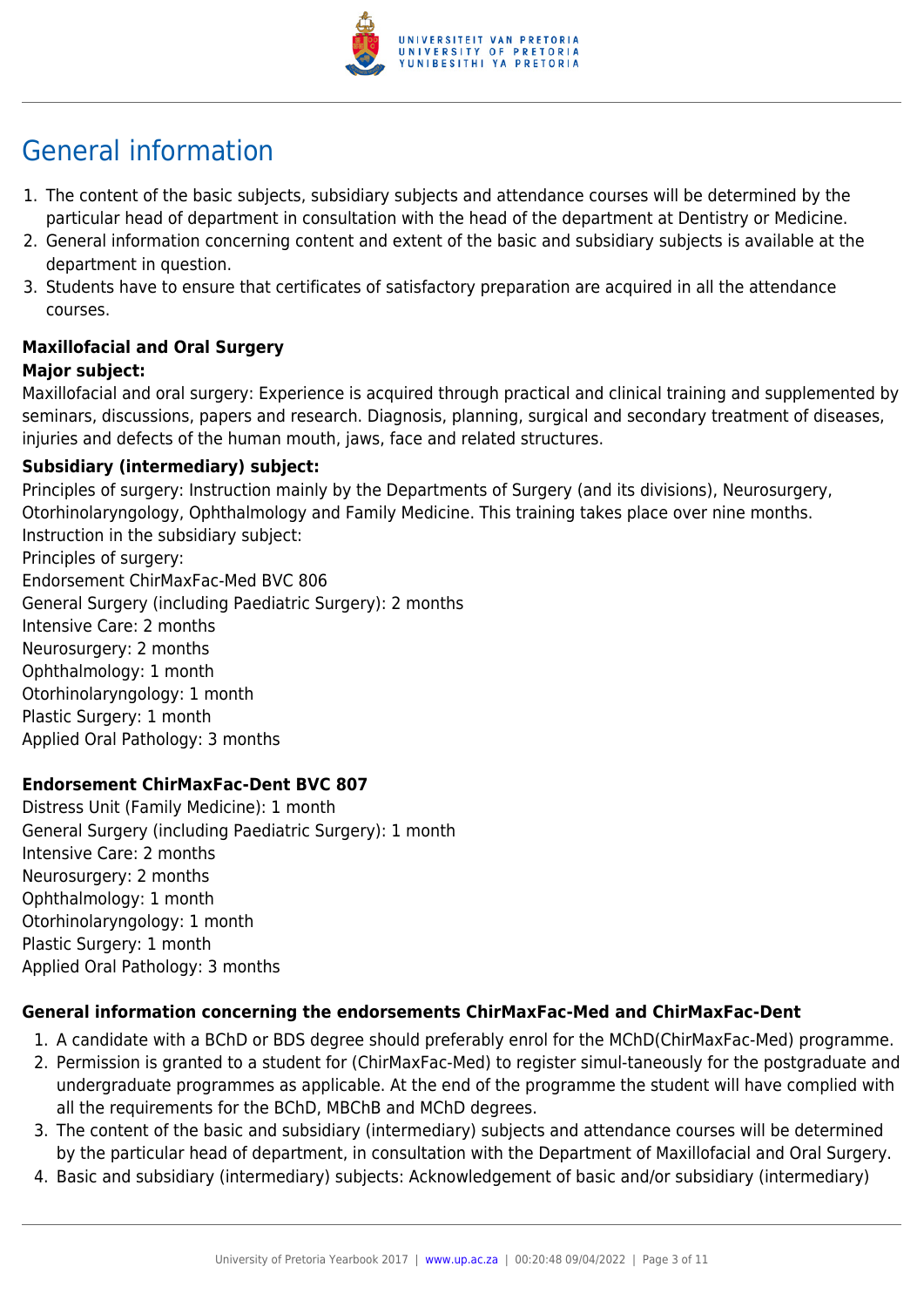

# General information

- 1. The content of the basic subjects, subsidiary subjects and attendance courses will be determined by the particular head of department in consultation with the head of the department at Dentistry or Medicine.
- 2. General information concerning content and extent of the basic and subsidiary subjects is available at the department in question.
- 3. Students have to ensure that certificates of satisfactory preparation are acquired in all the attendance courses.

#### **Maxillofacial and Oral Surgery Major subject:**

Maxillofacial and oral surgery: Experience is acquired through practical and clinical training and supplemented by seminars, discussions, papers and research. Diagnosis, planning, surgical and secondary treatment of diseases, injuries and defects of the human mouth, jaws, face and related structures.

#### **Subsidiary (intermediary) subject:**

Principles of surgery: Instruction mainly by the Departments of Surgery (and its divisions), Neurosurgery, Otorhinolaryngology, Ophthalmology and Family Medicine. This training takes place over nine months. Instruction in the subsidiary subject: Principles of surgery: Endorsement ChirMaxFac-Med BVC 806 General Surgery (including Paediatric Surgery): 2 months Intensive Care: 2 months Neurosurgery: 2 months Ophthalmology: 1 month Otorhinolaryngology: 1 month Plastic Surgery: 1 month Applied Oral Pathology: 3 months

#### **Endorsement ChirMaxFac-Dent BVC 807**

Distress Unit (Family Medicine): 1 month General Surgery (including Paediatric Surgery): 1 month Intensive Care: 2 months Neurosurgery: 2 months Ophthalmology: 1 month Otorhinolaryngology: 1 month Plastic Surgery: 1 month Applied Oral Pathology: 3 months

#### **General information concerning the endorsements ChirMaxFac-Med and ChirMaxFac-Dent**

- 1. A candidate with a BChD or BDS degree should preferably enrol for the MChD(ChirMaxFac-Med) programme.
- 2. Permission is granted to a student for (ChirMaxFac-Med) to register simul-taneously for the postgraduate and undergraduate programmes as applicable. At the end of the programme the student will have complied with all the requirements for the BChD, MBChB and MChD degrees.
- 3. The content of the basic and subsidiary (intermediary) subjects and attendance courses will be determined by the particular head of department, in consultation with the Department of Maxillofacial and Oral Surgery.
- 4. Basic and subsidiary (intermediary) subjects: Acknowledgement of basic and/or subsidiary (intermediary)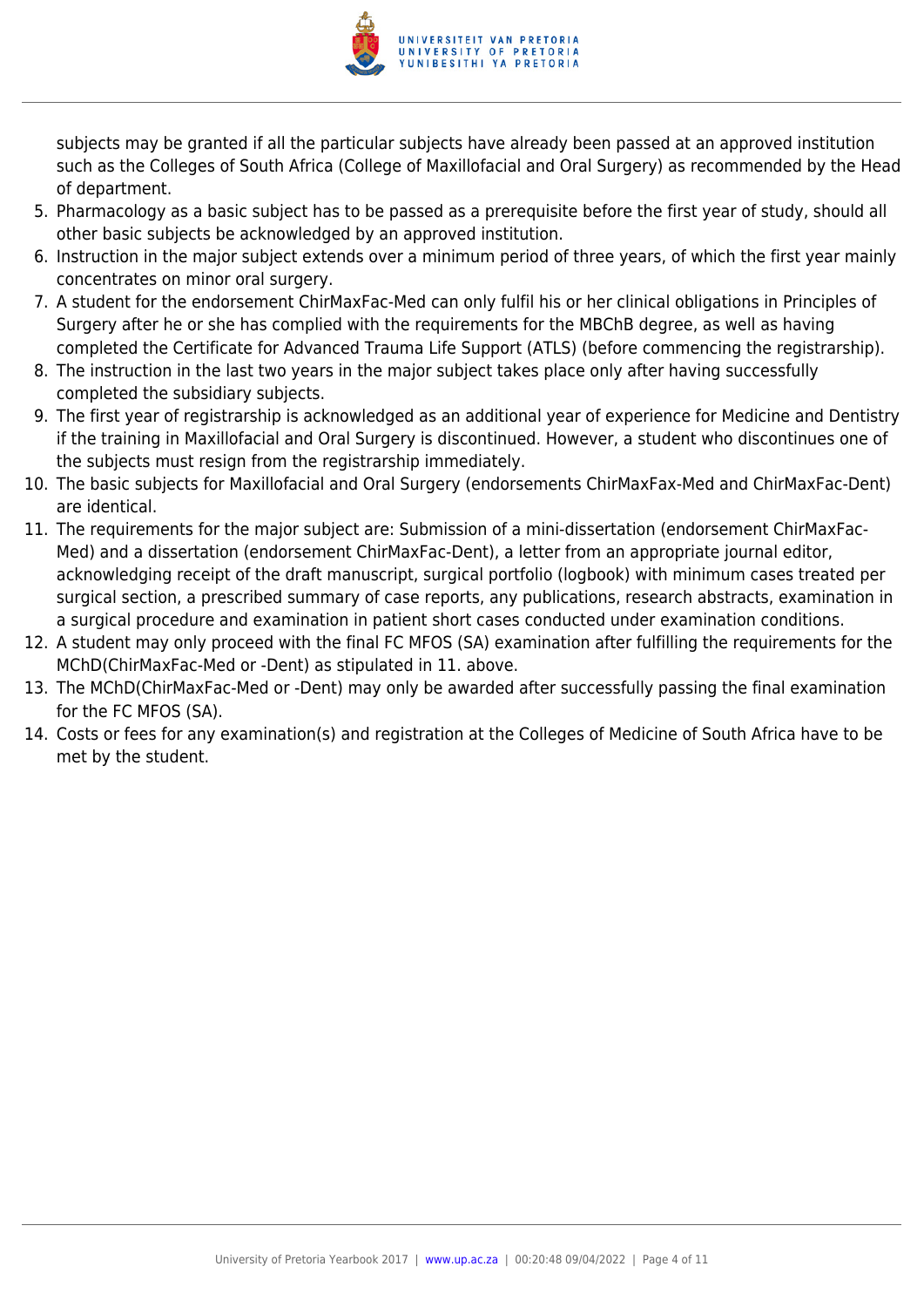

subjects may be granted if all the particular subjects have already been passed at an approved institution such as the Colleges of South Africa (College of Maxillofacial and Oral Surgery) as recommended by the Head of department.

- 5. Pharmacology as a basic subject has to be passed as a prerequisite before the first year of study, should all other basic subjects be acknowledged by an approved institution.
- 6. Instruction in the major subject extends over a minimum period of three years, of which the first year mainly concentrates on minor oral surgery.
- 7. A student for the endorsement ChirMaxFac-Med can only fulfil his or her clinical obligations in Principles of Surgery after he or she has complied with the requirements for the MBChB degree, as well as having completed the Certificate for Advanced Trauma Life Support (ATLS) (before commencing the registrarship).
- 8. The instruction in the last two years in the major subject takes place only after having successfully completed the subsidiary subjects.
- 9. The first year of registrarship is acknowledged as an additional year of experience for Medicine and Dentistry if the training in Maxillofacial and Oral Surgery is discontinued. However, a student who discontinues one of the subjects must resign from the registrarship immediately.
- 10. The basic subjects for Maxillofacial and Oral Surgery (endorsements ChirMaxFax-Med and ChirMaxFac-Dent) are identical.
- 11. The requirements for the major subject are: Submission of a mini-dissertation (endorsement ChirMaxFac-Med) and a dissertation (endorsement ChirMaxFac-Dent), a letter from an appropriate journal editor, acknowledging receipt of the draft manuscript, surgical portfolio (logbook) with minimum cases treated per surgical section, a prescribed summary of case reports, any publications, research abstracts, examination in a surgical procedure and examination in patient short cases conducted under examination conditions.
- 12. A student may only proceed with the final FC MFOS (SA) examination after fulfilling the requirements for the MChD(ChirMaxFac-Med or -Dent) as stipulated in 11. above.
- 13. The MChD(ChirMaxFac-Med or -Dent) may only be awarded after successfully passing the final examination for the FC MFOS (SA).
- 14. Costs or fees for any examination(s) and registration at the Colleges of Medicine of South Africa have to be met by the student.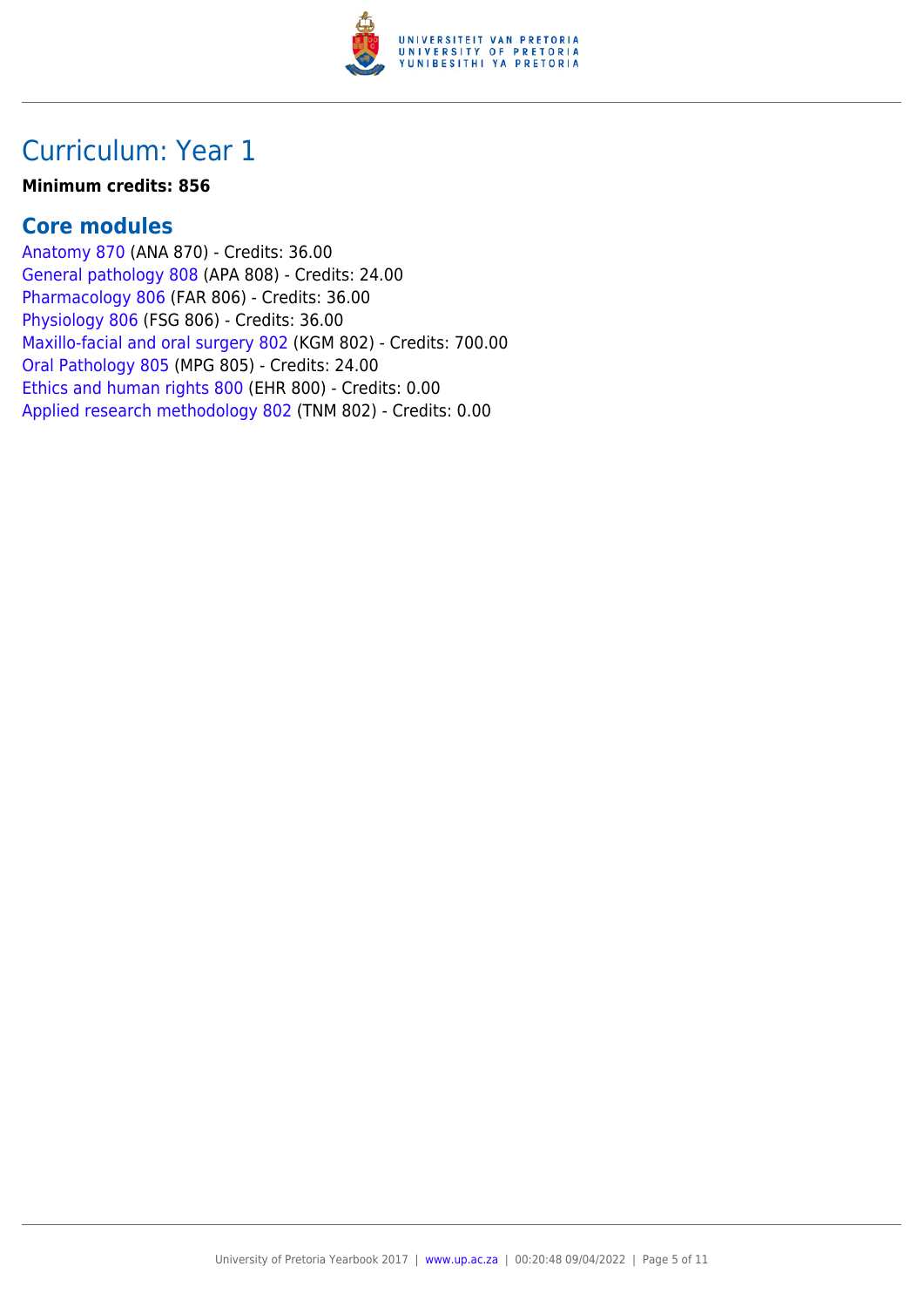

#### **Minimum credits: 856**

#### **Core modules**

[Anatomy 870](https://www.up.ac.za/yearbooks/2017/modules/view/ANA 870) (ANA 870) - Credits: 36.00 [General pathology 808](https://www.up.ac.za/yearbooks/2017/modules/view/APA 808) (APA 808) - Credits: 24.00 [Pharmacology 806](https://www.up.ac.za/yearbooks/2017/modules/view/FAR 806) (FAR 806) - Credits: 36.00 [Physiology 806](https://www.up.ac.za/yearbooks/2017/modules/view/FSG 806) (FSG 806) - Credits: 36.00 [Maxillo-facial and oral surgery 802](https://www.up.ac.za/yearbooks/2017/modules/view/KGM 802) (KGM 802) - Credits: 700.00 [Oral Pathology 805](https://www.up.ac.za/yearbooks/2017/modules/view/MPG 805) (MPG 805) - Credits: 24.00 [Ethics and human rights 800](https://www.up.ac.za/yearbooks/2017/modules/view/EHR 800) (EHR 800) - Credits: 0.00 [Applied research methodology 802](https://www.up.ac.za/yearbooks/2017/modules/view/TNM 802) (TNM 802) - Credits: 0.00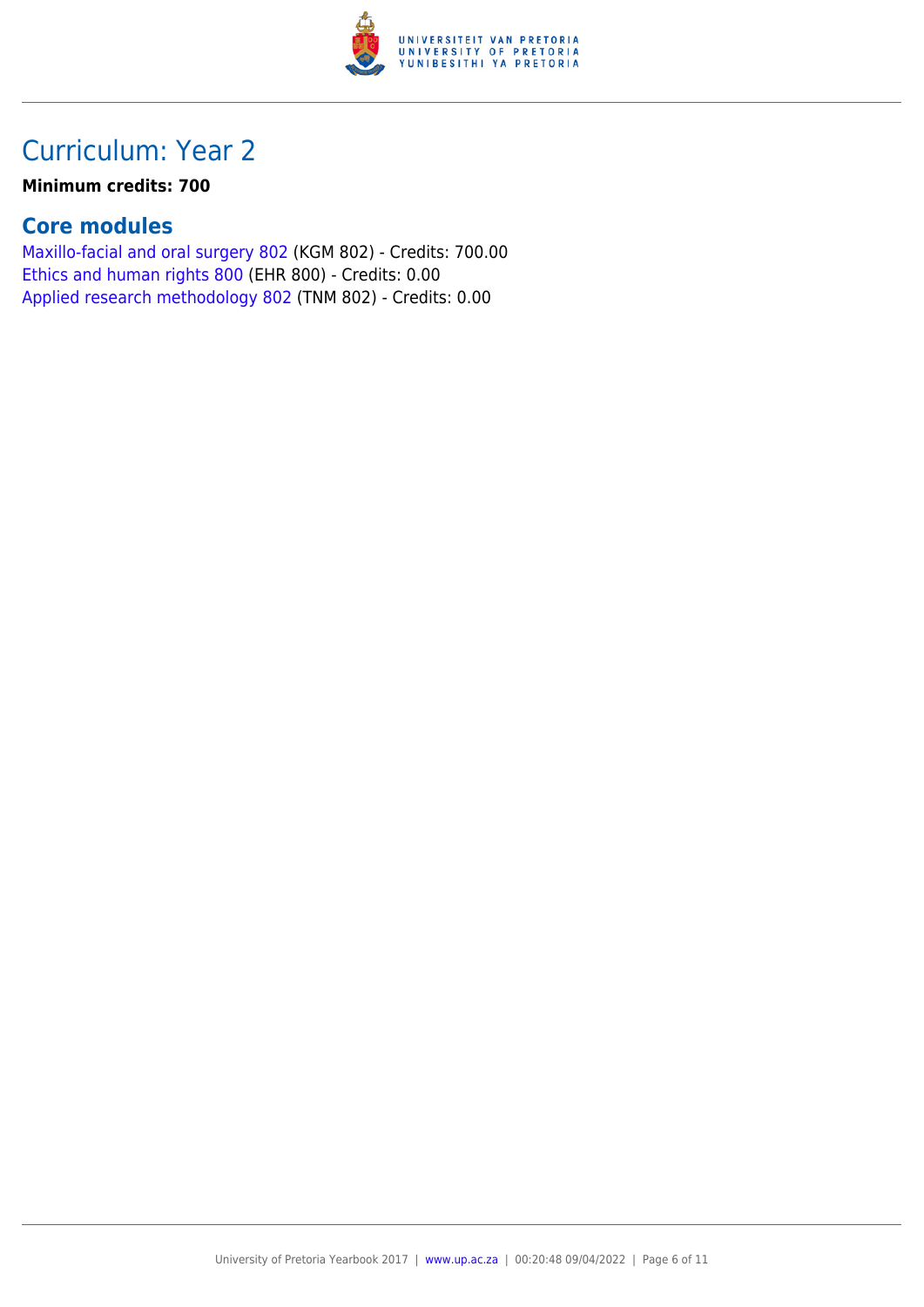

#### **Minimum credits: 700**

### **Core modules**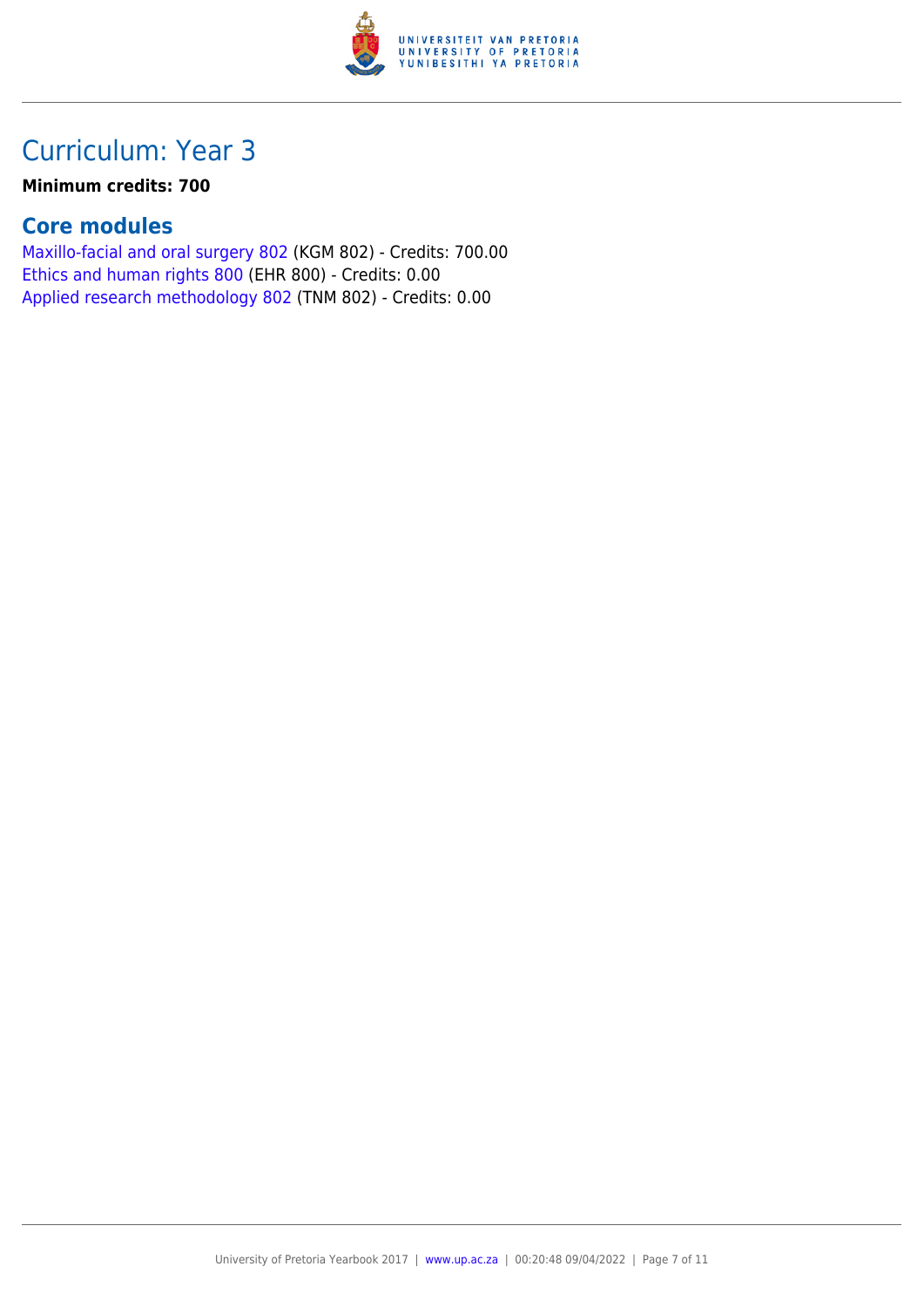

#### **Minimum credits: 700**

### **Core modules**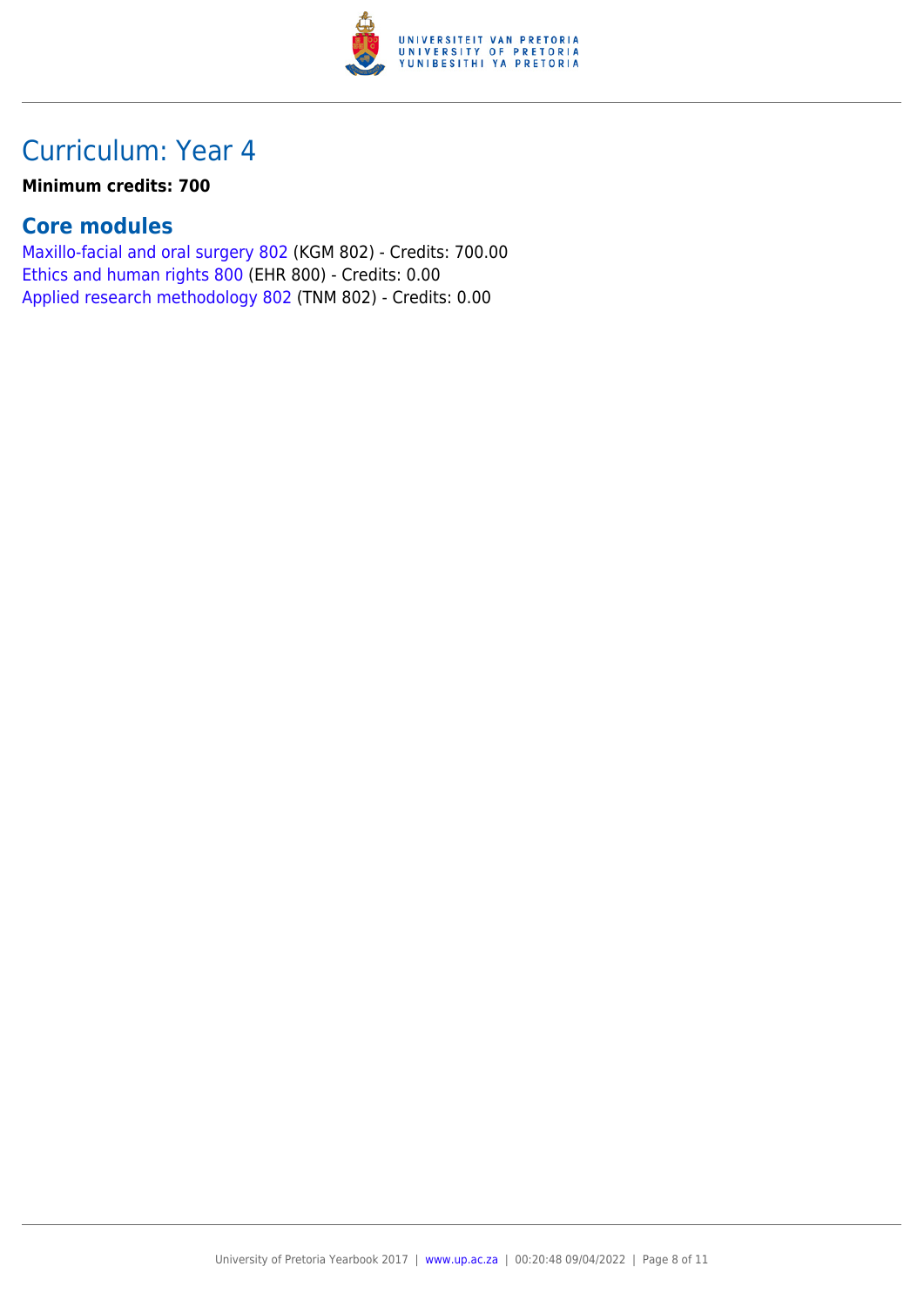

#### **Minimum credits: 700**

### **Core modules**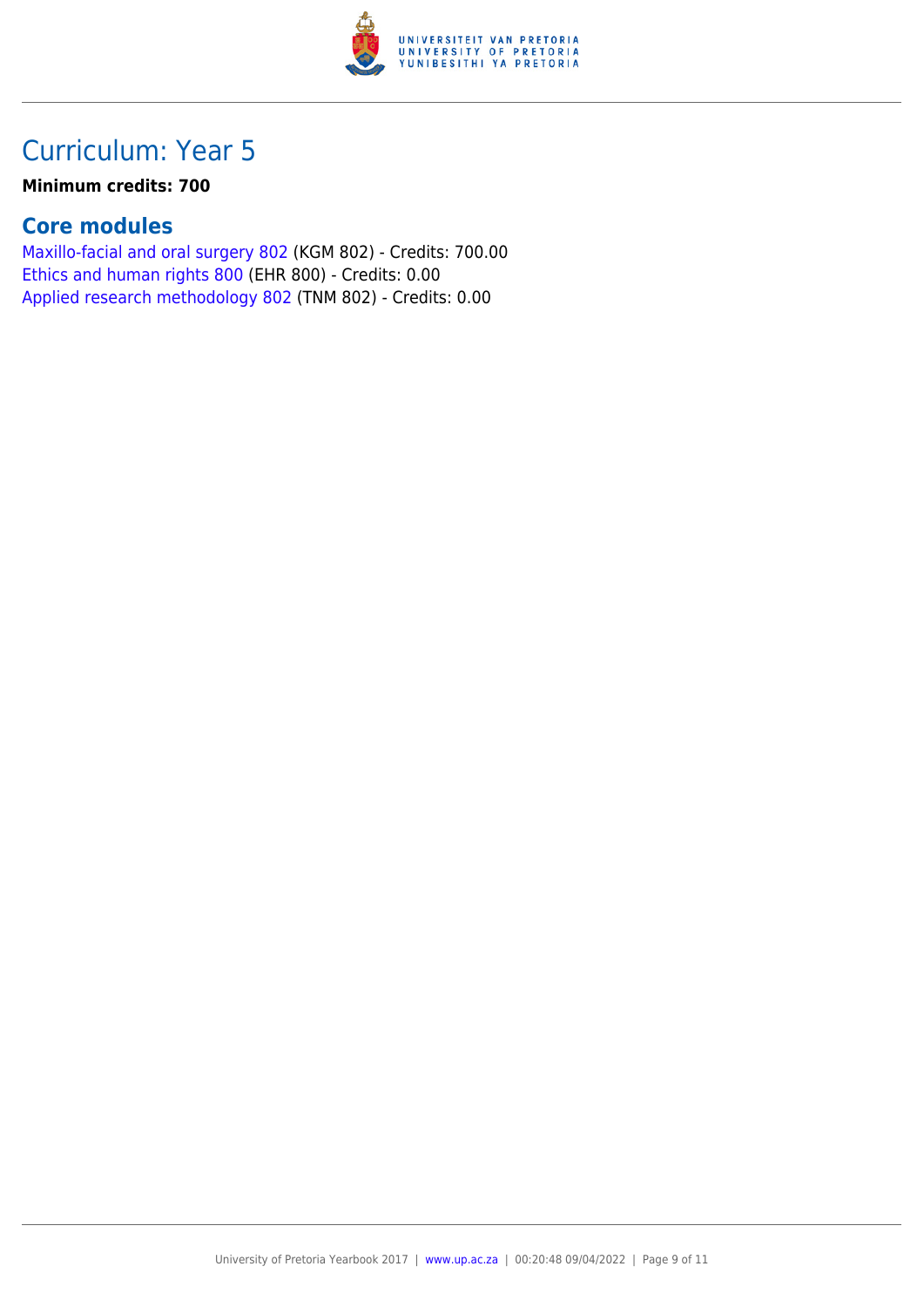

#### **Minimum credits: 700**

### **Core modules**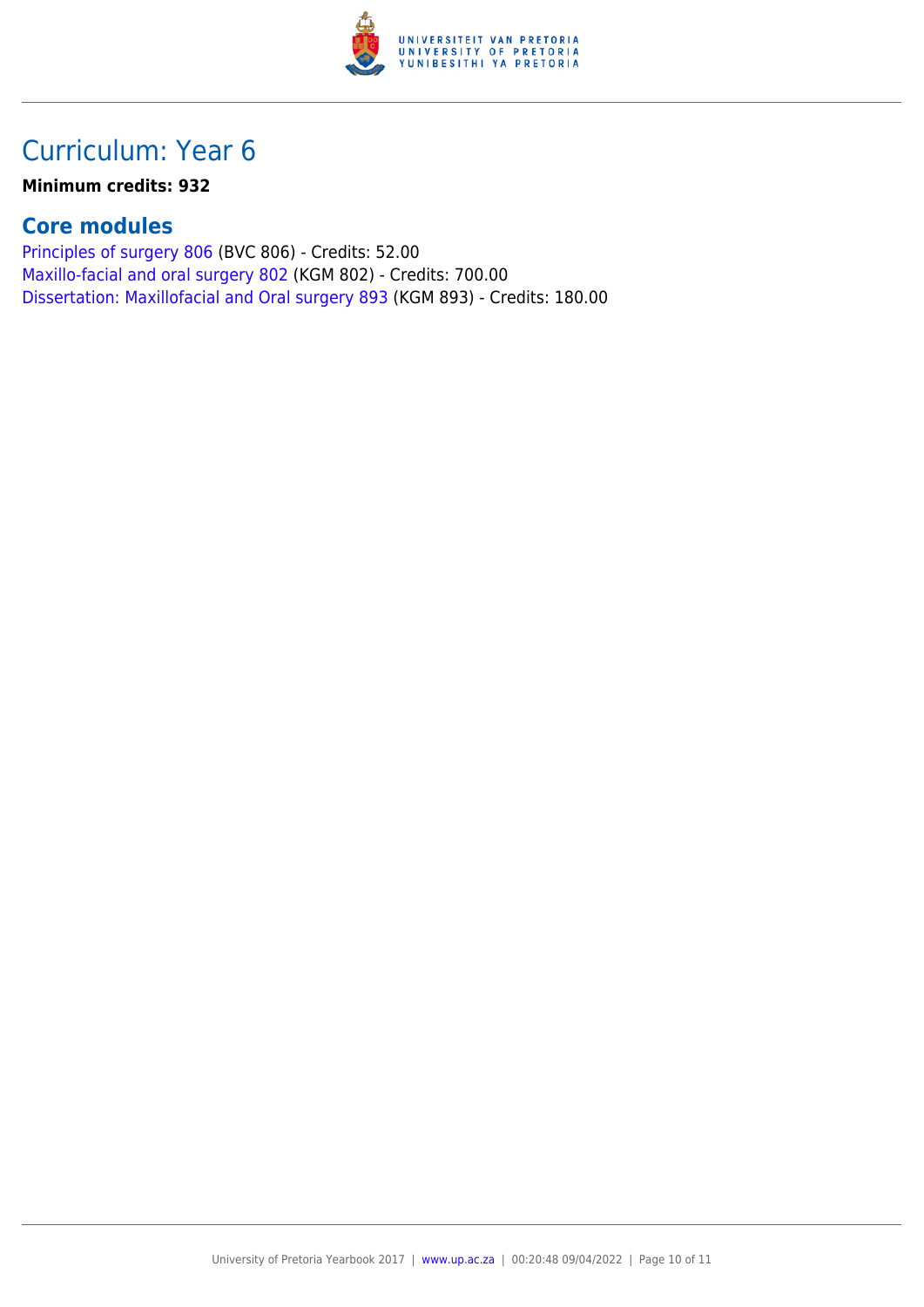

#### **Minimum credits: 932**

### **Core modules**

[Principles of surgery 806](https://www.up.ac.za/yearbooks/2017/modules/view/BVC 806) (BVC 806) - Credits: 52.00 [Maxillo-facial and oral surgery 802](https://www.up.ac.za/yearbooks/2017/modules/view/KGM 802) (KGM 802) - Credits: 700.00 [Dissertation: Maxillofacial and Oral surgery 893](https://www.up.ac.za/yearbooks/2017/modules/view/KGM 893) (KGM 893) - Credits: 180.00